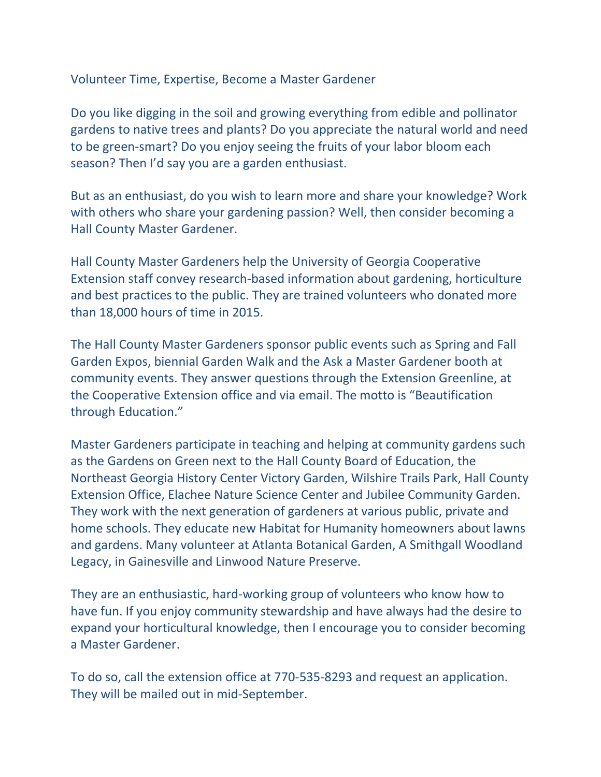Volunteer Time, Expertise, Become a Master Gardener

Do you like digging in the soil and growing everything from edible and pollinator gardens to native trees and plants? Do you appreciate the natural world and need to be green-smart? Do you enjoy seeing the fruits of your labor bloom each season? Then I'd say you are a garden enthusiast.

But as an enthusiast, do you wish to learn more and share your knowledge? Work with others who share your gardening passion? Well, then consider becoming a Hall County Master Gardener.

Hall County Master Gardeners help the University of Georgia Cooperative Extension staff convey research-based information about gardening, horticulture and best practices to the public. They are trained volunteers who donated more than 18,000 hours of time in 2015.

The Hall County Master Gardeners sponsor public events such as Spring and Fall Garden Expos, biennial Garden Walk and the Ask a Master Gardener booth at community events. They answer questions through the Extension Greenline, at the Cooperative Extension office and via email. The motto is "Beautification through Education."

Master Gardeners participate in teaching and helping at community gardens such as the Gardens on Green next to the Hall County Board of Education, the Northeast Georgia History Center Victory Garden, Wilshire Trails Park, Hall County Extension Office, Elachee Nature Science Center and Jubilee Community Garden. They work with the next generation of gardeners at various public, private and home schools. They educate new Habitat for Humanity homeowners about lawns and gardens. Many volunteer at Atlanta Botanical Garden, A Smithgall Woodland Legacy, in Gainesville and Linwood Nature Preserve.

They are an enthusiastic, hard-working group of volunteers who know how to have fun. If you enjoy community stewardship and have always had the desire to expand your horticultural knowledge, then I encourage you to consider becoming a Master Gardener.

To do so, call the extension office at 770-535-8293 and request an application. They will be mailed out in mid-September.